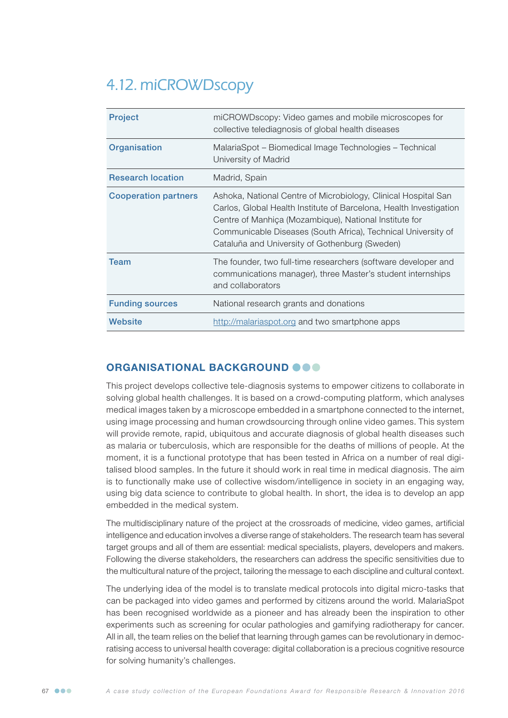# 4.12. miCROWDscopy

| <b>Project</b>              | miCROWDscopy: Video games and mobile microscopes for<br>collective telediagnosis of global health diseases                                                                                                                                                                                                        |
|-----------------------------|-------------------------------------------------------------------------------------------------------------------------------------------------------------------------------------------------------------------------------------------------------------------------------------------------------------------|
| Organisation                | MalariaSpot – Biomedical Image Technologies – Technical<br>University of Madrid                                                                                                                                                                                                                                   |
| <b>Research location</b>    | Madrid, Spain                                                                                                                                                                                                                                                                                                     |
| <b>Cooperation partners</b> | Ashoka, National Centre of Microbiology, Clinical Hospital San<br>Carlos, Global Health Institute of Barcelona, Health Investigation<br>Centre of Manhiça (Mozambique), National Institute for<br>Communicable Diseases (South Africa), Technical University of<br>Cataluña and University of Gothenburg (Sweden) |
| Team                        | The founder, two full-time researchers (software developer and<br>communications manager), three Master's student internships<br>and collaborators                                                                                                                                                                |
| <b>Funding sources</b>      | National research grants and donations                                                                                                                                                                                                                                                                            |
| <b>Website</b>              | http://malariaspot.org and two smartphone apps                                                                                                                                                                                                                                                                    |

# ORGANISATIONAL BACKGROUND OOO

This project develops collective tele-diagnosis systems to empower citizens to collaborate in solving global health challenges. It is based on a crowd-computing platform, which analyses medical images taken by a microscope embedded in a smartphone connected to the internet, using image processing and human crowdsourcing through online video games. This system will provide remote, rapid, ubiquitous and accurate diagnosis of global health diseases such as malaria or tuberculosis, which are responsible for the deaths of millions of people. At the moment, it is a functional prototype that has been tested in Africa on a number of real digitalised blood samples. In the future it should work in real time in medical diagnosis. The aim is to functionally make use of collective wisdom/intelligence in society in an engaging way, using big data science to contribute to global health. In short, the idea is to develop an app embedded in the medical system.

The multidisciplinary nature of the project at the crossroads of medicine, video games, artificial intelligence and education involves a diverse range of stakeholders. The research team has several target groups and all of them are essential: medical specialists, players, developers and makers. Following the diverse stakeholders, the researchers can address the specific sensitivities due to the multicultural nature of the project, tailoring the message to each discipline and cultural context.

The underlying idea of the model is to translate medical protocols into digital micro-tasks that can be packaged into video games and performed by citizens around the world. MalariaSpot has been recognised worldwide as a pioneer and has already been the inspiration to other experiments such as screening for ocular pathologies and gamifying radiotherapy for cancer. All in all, the team relies on the belief that learning through games can be revolutionary in democratising access to universal health coverage: digital collaboration is a precious cognitive resource for solving humanity's challenges.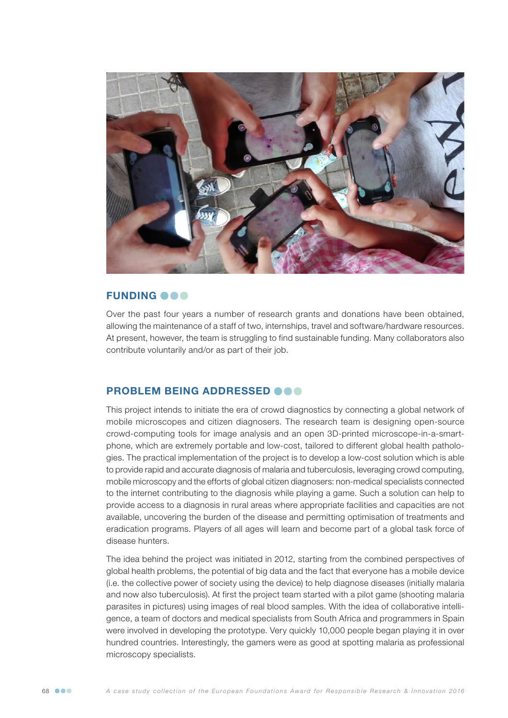

### **FUNDING OOO**

Over the past four years a number of research grants and donations have been obtained, allowing the maintenance of a staff of two, internships, travel and software/hardware resources. At present, however, the team is struggling to find sustainable funding. Many collaborators also contribute voluntarily and/or as part of their job.

## PROBLEM BEING ADDRESSED @@@

This project intends to initiate the era of crowd diagnostics by connecting a global network of mobile microscopes and citizen diagnosers. The research team is designing open-source crowd-computing tools for image analysis and an open 3D-printed microscope-in-a-smartphone, which are extremely portable and low-cost, tailored to different global health pathologies. The practical implementation of the project is to develop a low-cost solution which is able to provide rapid and accurate diagnosis of malaria and tuberculosis, leveraging crowd computing, mobile microscopy and the efforts of global citizen diagnosers: non-medical specialists connected to the internet contributing to the diagnosis while playing a game. Such a solution can help to provide access to a diagnosis in rural areas where appropriate facilities and capacities are not available, uncovering the burden of the disease and permitting optimisation of treatments and eradication programs. Players of all ages will learn and become part of a global task force of disease hunters.

The idea behind the project was initiated in 2012, starting from the combined perspectives of global health problems, the potential of big data and the fact that everyone has a mobile device (i.e. the collective power of society using the device) to help diagnose diseases (initially malaria and now also tuberculosis). At first the project team started with a pilot game (shooting malaria parasites in pictures) using images of real blood samples. With the idea of collaborative intelligence, a team of doctors and medical specialists from South Africa and programmers in Spain were involved in developing the prototype. Very quickly 10,000 people began playing it in over hundred countries. Interestingly, the gamers were as good at spotting malaria as professional microscopy specialists.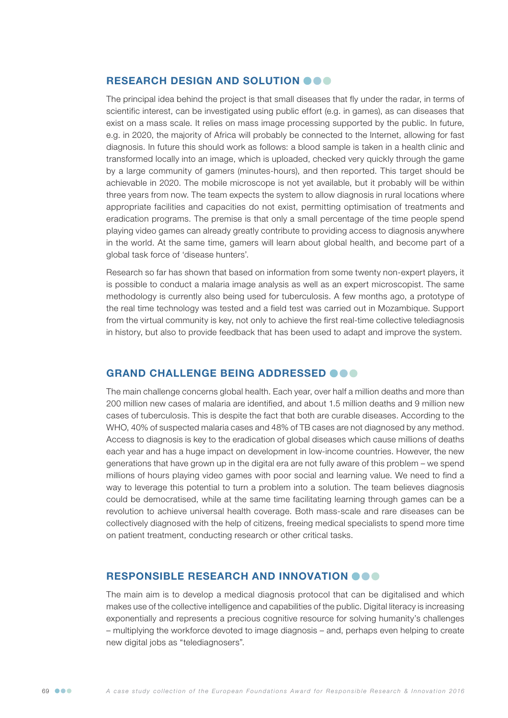# RESEARCH DESIGN AND SOLUTION OOO

The principal idea behind the project is that small diseases that fly under the radar, in terms of scientific interest, can be investigated using public effort (e.g. in games), as can diseases that exist on a mass scale. It relies on mass image processing supported by the public. In future, e.g. in 2020, the majority of Africa will probably be connected to the Internet, allowing for fast diagnosis. In future this should work as follows: a blood sample is taken in a health clinic and transformed locally into an image, which is uploaded, checked very quickly through the game by a large community of gamers (minutes-hours), and then reported. This target should be achievable in 2020. The mobile microscope is not yet available, but it probably will be within three years from now. The team expects the system to allow diagnosis in rural locations where appropriate facilities and capacities do not exist, permitting optimisation of treatments and eradication programs. The premise is that only a small percentage of the time people spend playing video games can already greatly contribute to providing access to diagnosis anywhere in the world. At the same time, gamers will learn about global health, and become part of a global task force of 'disease hunters'.

Research so far has shown that based on information from some twenty non-expert players, it is possible to conduct a malaria image analysis as well as an expert microscopist. The same methodology is currently also being used for tuberculosis. A few months ago, a prototype of the real time technology was tested and a field test was carried out in Mozambique. Support from the virtual community is key, not only to achieve the first real-time collective telediagnosis in history, but also to provide feedback that has been used to adapt and improve the system.

### GRAND CHALLENGE BEING ADDRESSED **@@@**

The main challenge concerns global health. Each year, over half a million deaths and more than 200 million new cases of malaria are identified, and about 1.5 million deaths and 9 million new cases of tuberculosis. This is despite the fact that both are curable diseases. According to the WHO, 40% of suspected malaria cases and 48% of TB cases are not diagnosed by any method. Access to diagnosis is key to the eradication of global diseases which cause millions of deaths each year and has a huge impact on development in low-income countries. However, the new generations that have grown up in the digital era are not fully aware of this problem – we spend millions of hours playing video games with poor social and learning value. We need to find a way to leverage this potential to turn a problem into a solution. The team believes diagnosis could be democratised, while at the same time facilitating learning through games can be a revolution to achieve universal health coverage. Both mass-scale and rare diseases can be collectively diagnosed with the help of citizens, freeing medical specialists to spend more time on patient treatment, conducting research or other critical tasks.

## RESPONSIBLE RESEARCH AND INNOVATION OOO

The main aim is to develop a medical diagnosis protocol that can be digitalised and which makes use of the collective intelligence and capabilities of the public. Digital literacy is increasing exponentially and represents a precious cognitive resource for solving humanity's challenges – multiplying the workforce devoted to image diagnosis – and, perhaps even helping to create new digital jobs as "telediagnosers".